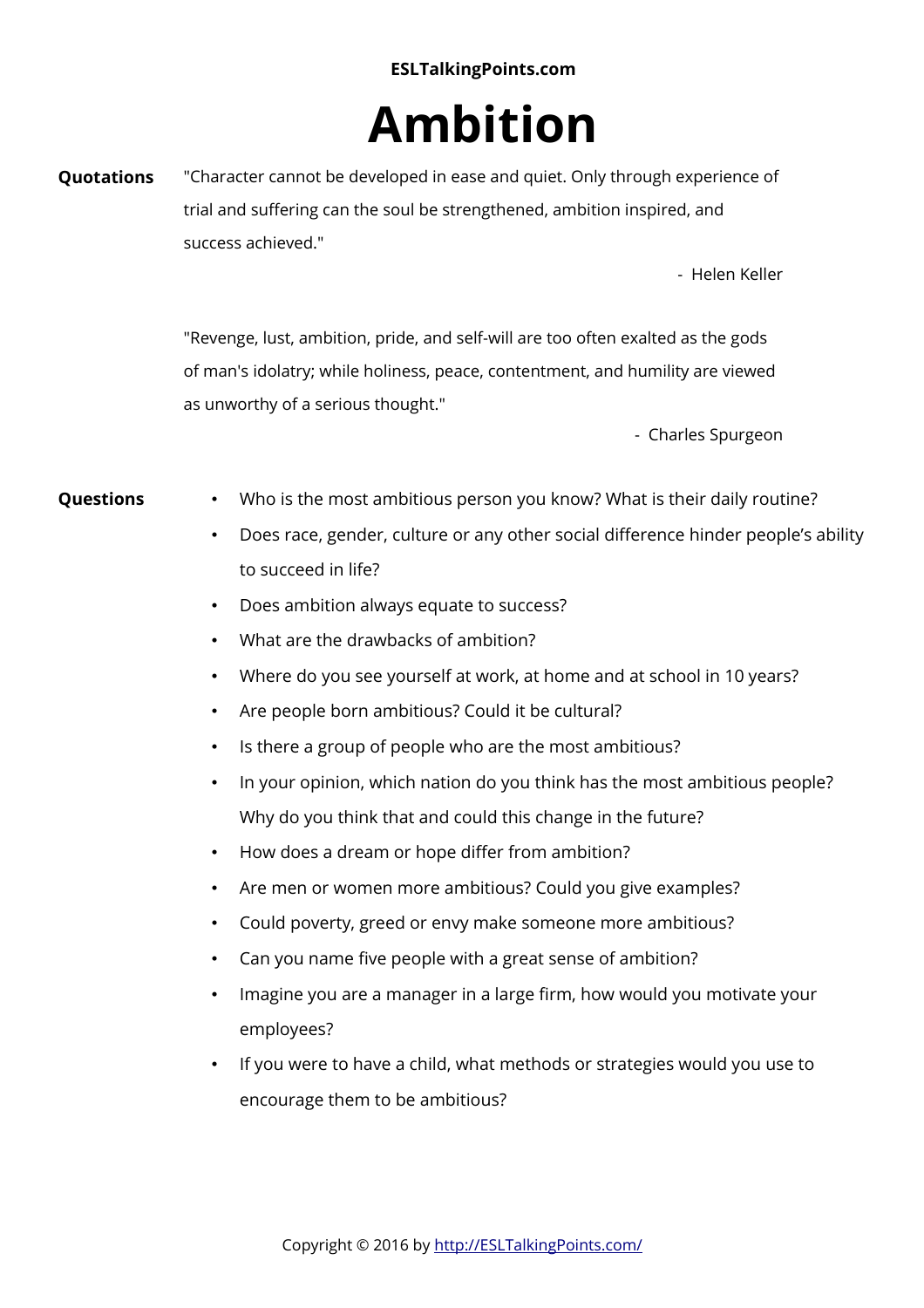## **ESLTalkingPoints.com**

## **Ambition**

**Quotations** "Character cannot be developed in ease and quiet. Only through experience of trial and suffering can the soul be strengthened, ambition inspired, and success achieved."

- Helen Keller

"Revenge, lust, ambition, pride, and self-will are too often exalted as the gods of man's idolatry; while holiness, peace, contentment, and humility are viewed as unworthy of a serious thought."

- Charles Spurgeon

- **Questions** Who is the most ambitious person you know? What is their daily routine?
	- Does race, gender, culture or any other social difference hinder people's ability to succeed in life?
	- Does ambition always equate to success?
	- What are the drawbacks of ambition?
	- Where do you see yourself at work, at home and at school in 10 years?
	- Are people born ambitious? Could it be cultural?
	- Is there a group of people who are the most ambitious?
	- In your opinion, which nation do you think has the most ambitious people? Why do you think that and could this change in the future?
	- How does a dream or hope differ from ambition?
	- Are men or women more ambitious? Could you give examples?
	- Could poverty, greed or envy make someone more ambitious?
	- Can you name five people with a great sense of ambition?
	- Imagine you are a manager in a large firm, how would you motivate your employees?
	- If you were to have a child, what methods or strategies would you use to encourage them to be ambitious?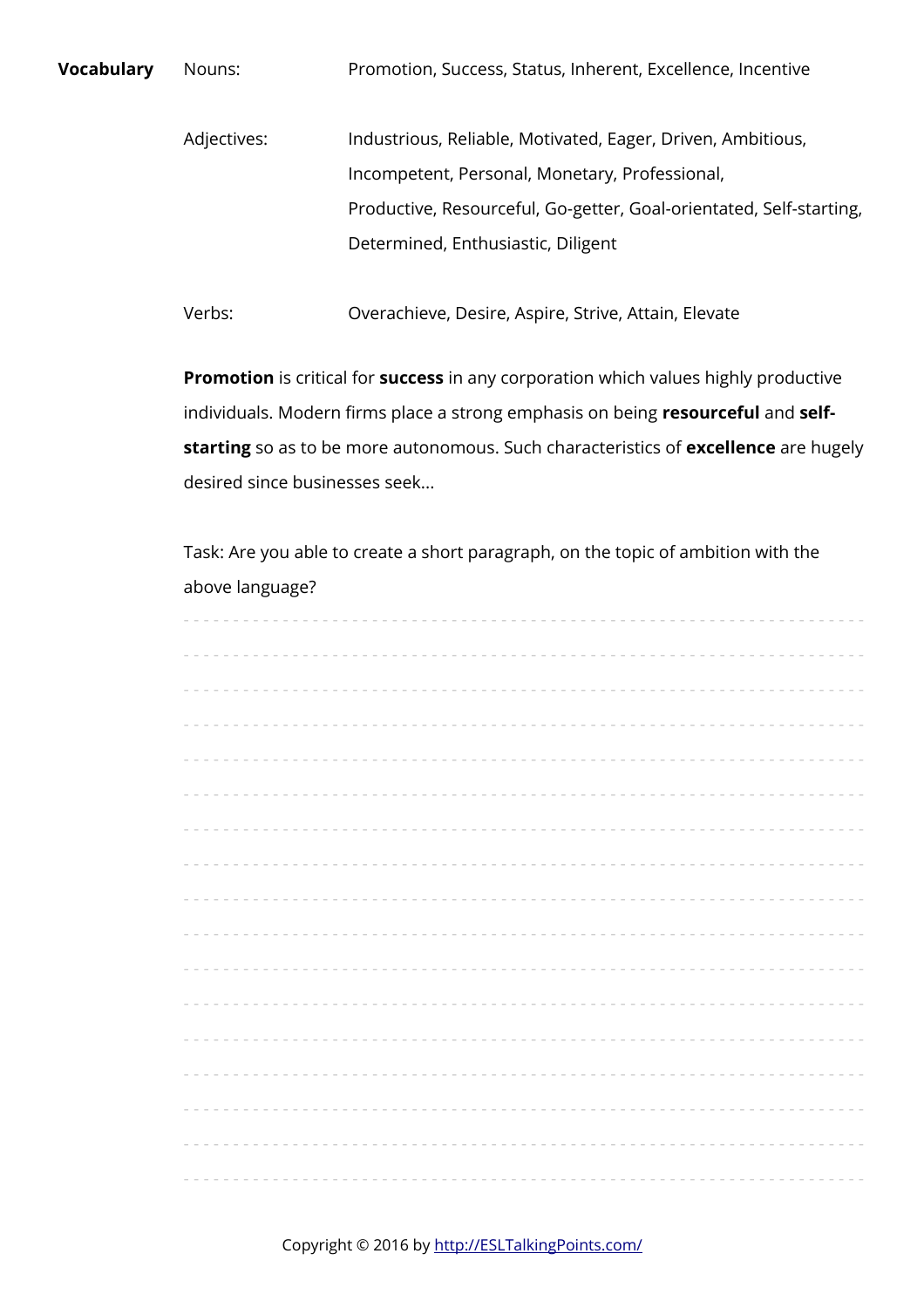**Vocabulary** Nouns: Promotion, Success, Status, Inherent, Excellence, Incentive Adjectives: Industrious, Reliable, Motivated, Eager, Driven, Ambitious,

> Incompetent, Personal, Monetary, Professional, Productive, Resourceful, Go-getter, Goal-orientated, Self-starting, Determined, Enthusiastic, Diligent

Verbs: Overachieve, Desire, Aspire, Strive, Attain, Elevate

**Promotion** is critical for **success** in any corporation which values highly productive individuals. Modern firms place a strong emphasis on being **resourceful** and **selfstarting** so as to be more autonomous. Such characteristics of **excellence** are hugely desired since businesses seek...

Task: Are you able to create a short paragraph, on the topic of ambition with the above language?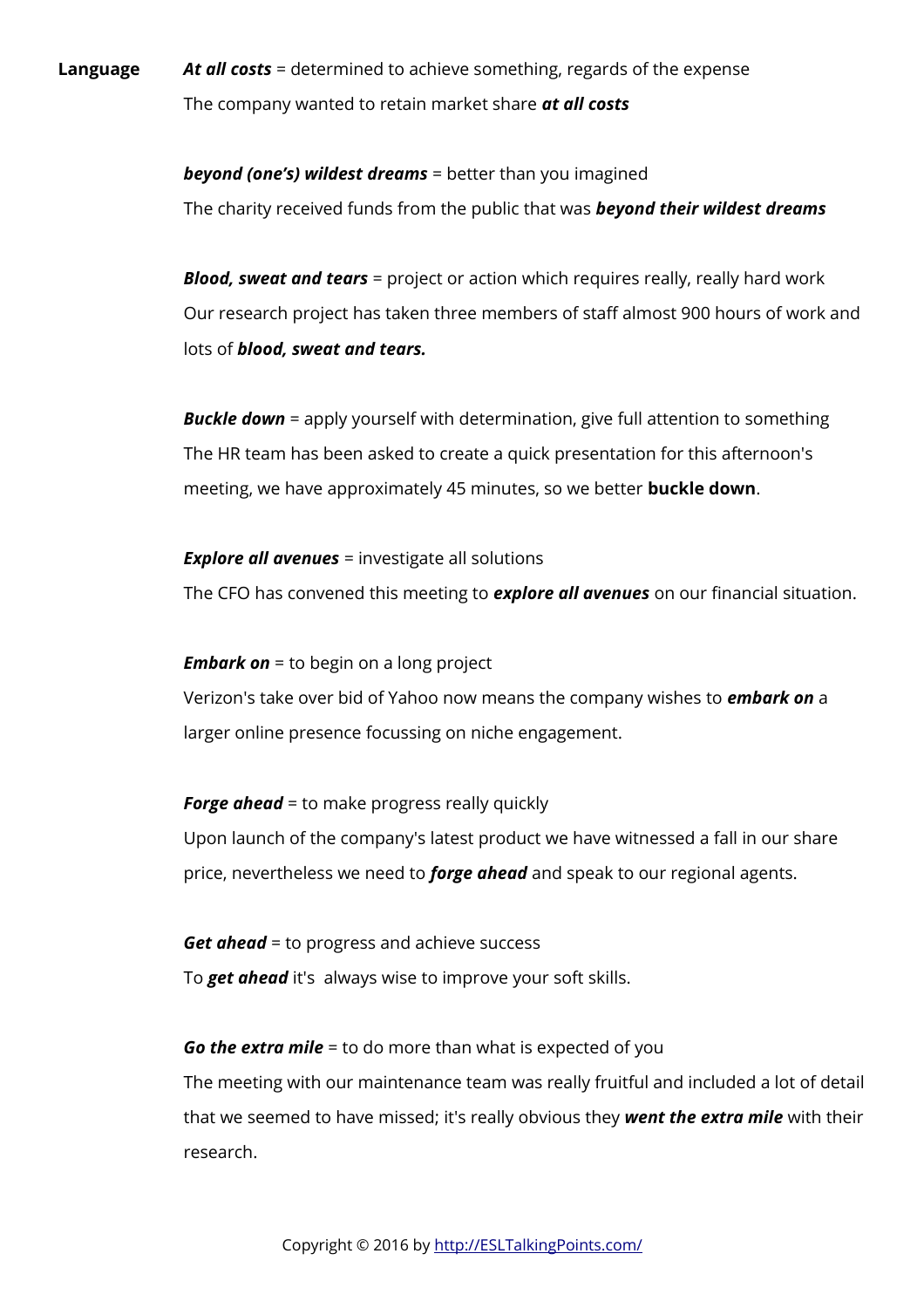**Language** *At all costs* = determined to achieve something, regards of the expense The company wanted to retain market share *at all costs*

> *beyond (one's) wildest dreams* = better than you imagined The charity received funds from the public that was *beyond their wildest dreams*

*Blood, sweat and tears* = project or action which requires really, really hard work Our research project has taken three members of staff almost 900 hours of work and lots of *blood, sweat and tears.*

**Buckle down** = apply yourself with determination, give full attention to something The HR team has been asked to create a quick presentation for this afternoon's meeting, we have approximately 45 minutes, so we better **buckle down**.

*Explore all avenues* = investigate all solutions

The CFO has convened this meeting to *explore all avenues* on our financial situation.

*Embark on* = to begin on a long project

Verizon's take over bid of Yahoo now means the company wishes to *embark on* a larger online presence focussing on niche engagement.

**Forge ahead** = to make progress really quickly

Upon launch of the company's latest product we have witnessed a fall in our share price, nevertheless we need to *forge ahead* and speak to our regional agents.

*Get ahead* = to progress and achieve success To *get ahead* it's always wise to improve your soft skills.

*Go the extra mile* = to do more than what is expected of you The meeting with our maintenance team was really fruitful and included a lot of detail that we seemed to have missed; it's really obvious they *went the extra mile* with their research.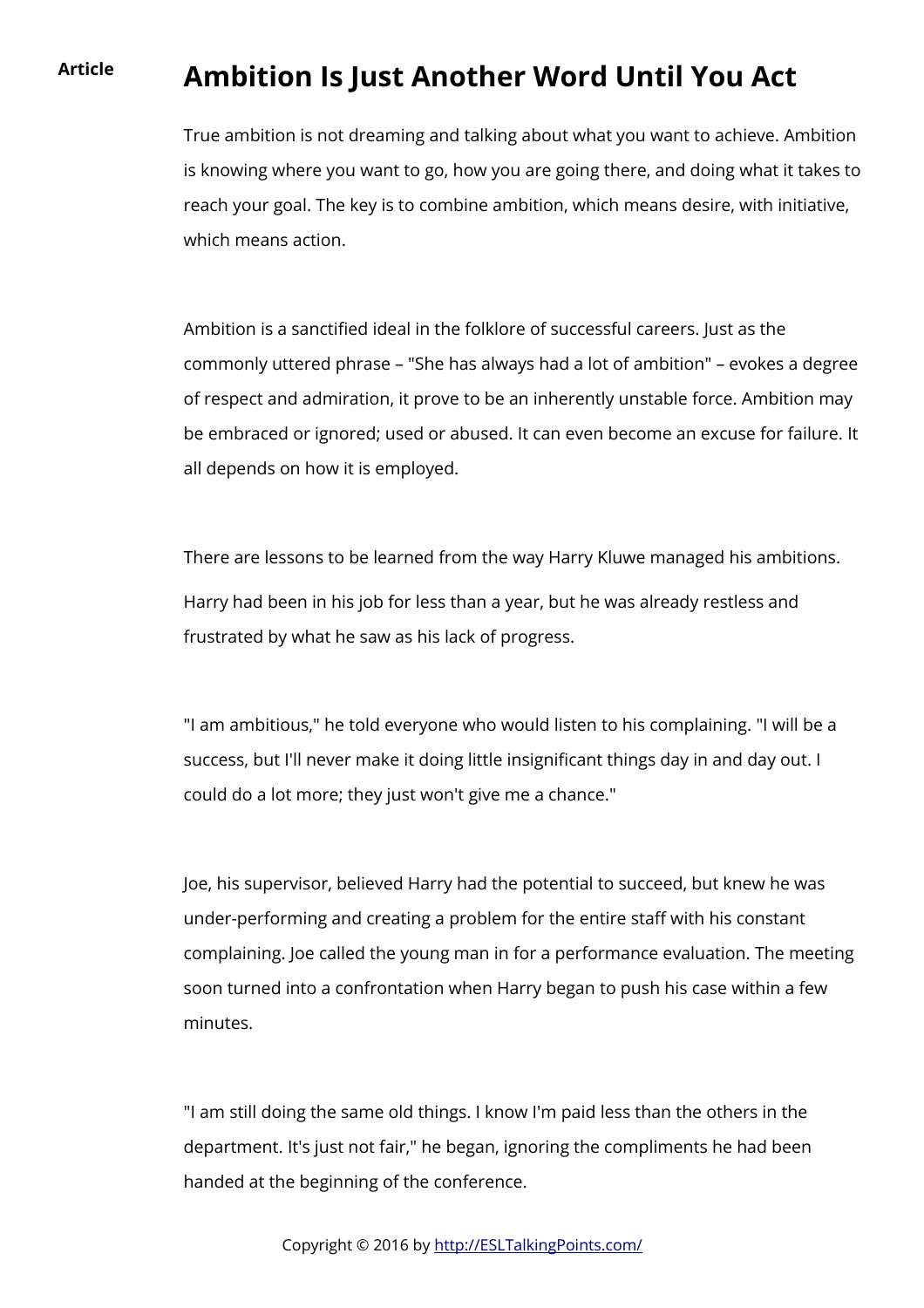## **Article Ambition Is Just Another Word Until You Act**

True ambition is not dreaming and talking about what you want to achieve. Ambition is knowing where you want to go, how you are going there, and doing what it takes to reach your goal. The key is to combine ambition, which means desire, with initiative, which means action.

Ambition is a sanctified ideal in the folklore of successful careers. Just as the commonly uttered phrase – "She has always had a lot of ambition" – evokes a degree of respect and admiration, it prove to be an inherently unstable force. Ambition may be embraced or ignored; used or abused. It can even become an excuse for failure. It all depends on how it is employed.

There are lessons to be learned from the way Harry Kluwe managed his ambitions. Harry had been in his job for less than a year, but he was already restless and frustrated by what he saw as his lack of progress.

"I am ambitious," he told everyone who would listen to his complaining. "I will be a success, but I'll never make it doing little insignificant things day in and day out. I could do a lot more; they just won't give me a chance."

Joe, his supervisor, believed Harry had the potential to succeed, but knew he was under-performing and creating a problem for the entire staff with his constant complaining. Joe called the young man in for a performance evaluation. The meeting soon turned into a confrontation when Harry began to push his case within a few minutes.

"I am still doing the same old things. I know I'm paid less than the others in the department. It's just not fair," he began, ignoring the compliments he had been handed at the beginning of the conference.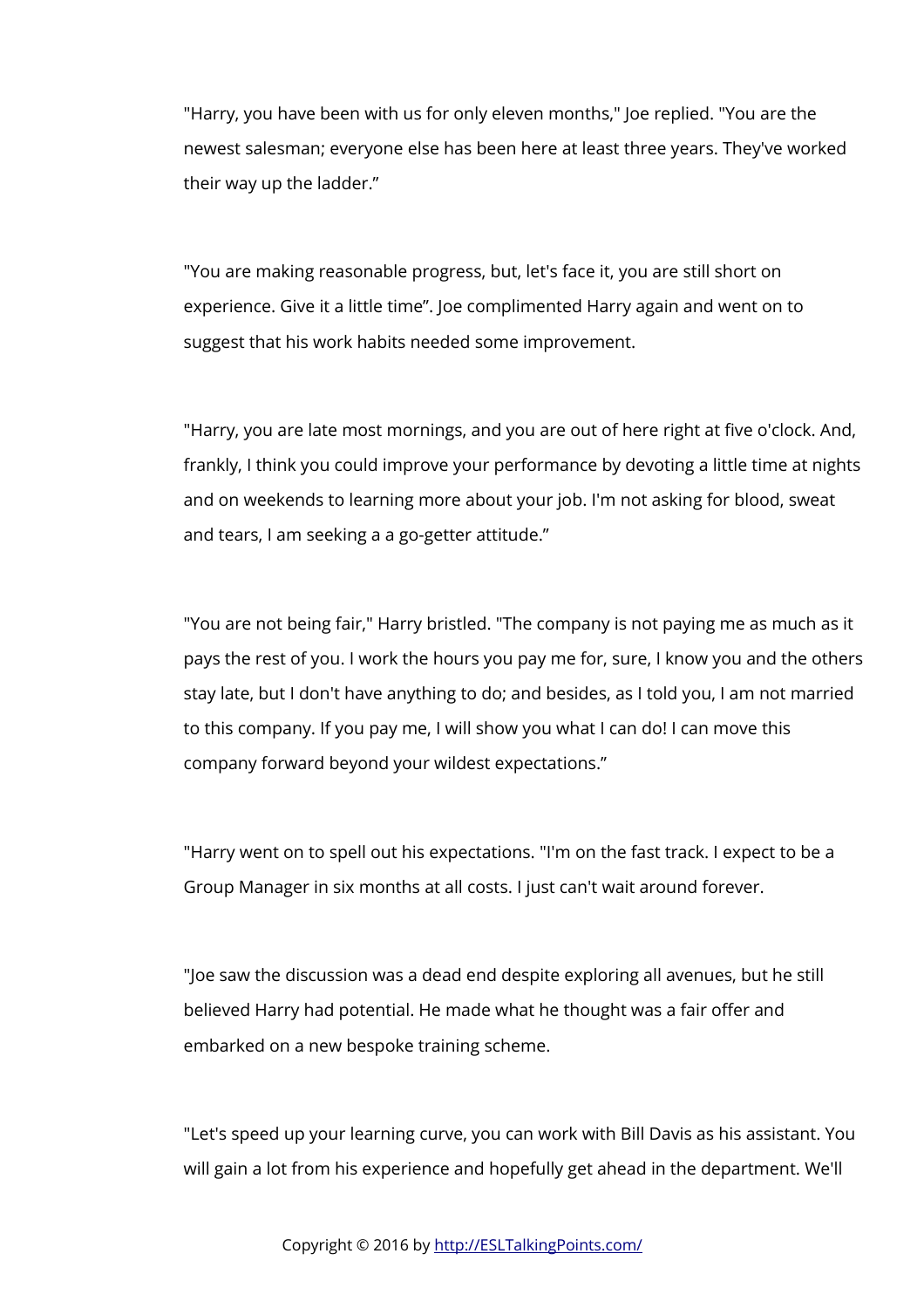"Harry, you have been with us for only eleven months," Joe replied. "You are the newest salesman; everyone else has been here at least three years. They've worked their way up the ladder."

"You are making reasonable progress, but, let's face it, you are still short on experience. Give it a little time". Joe complimented Harry again and went on to suggest that his work habits needed some improvement.

"Harry, you are late most mornings, and you are out of here right at five o'clock. And, frankly, I think you could improve your performance by devoting a little time at nights and on weekends to learning more about your job. I'm not asking for blood, sweat and tears, I am seeking a a go-getter attitude."

"You are not being fair," Harry bristled. "The company is not paying me as much as it pays the rest of you. I work the hours you pay me for, sure, I know you and the others stay late, but I don't have anything to do; and besides, as I told you, I am not married to this company. If you pay me, I will show you what I can do! I can move this company forward beyond your wildest expectations."

"Harry went on to spell out his expectations. "I'm on the fast track. I expect to be a Group Manager in six months at all costs. I just can't wait around forever.

"Joe saw the discussion was a dead end despite exploring all avenues, but he still believed Harry had potential. He made what he thought was a fair offer and embarked on a new bespoke training scheme.

"Let's speed up your learning curve, you can work with Bill Davis as his assistant. You will gain a lot from his experience and hopefully get ahead in the department. We'll